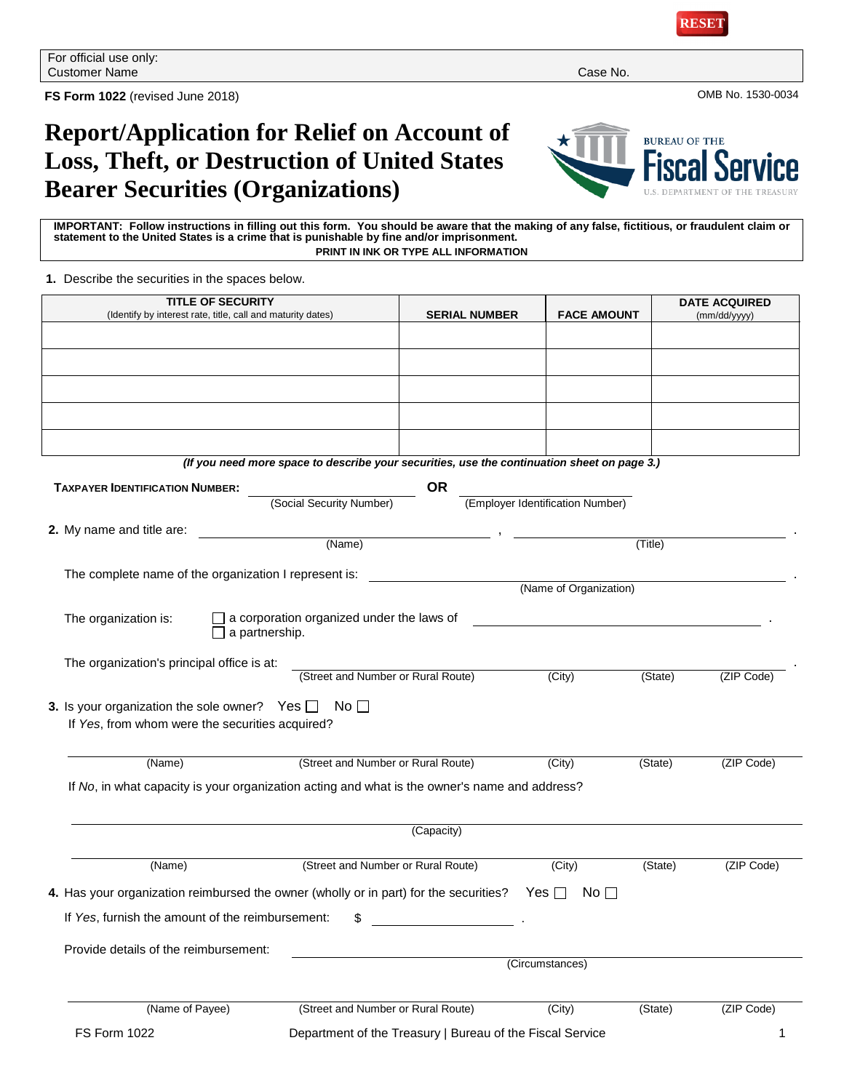

**FS Form 1022** (revised June 2018) OMB No. 1530-0034

## **Report/Application for Relief on Account of Loss, Theft, or Destruction of United States Bearer Securities (Organizations)**



**IMPORTANT: Follow instructions in filling out this form. You should be aware that the making of any false, fictitious, or fraudulent claim or statement to the United States is a crime that is punishable by fine and/or imprisonment. PRINT IN INK OR TYPE ALL INFORMATION**

**1.** Describe the securities in the spaces below.

| <b>TITLE OF SECURITY</b>                                                                                        |                                           |                                                                                             |                                  |         | <b>DATE ACQUIRED</b> |
|-----------------------------------------------------------------------------------------------------------------|-------------------------------------------|---------------------------------------------------------------------------------------------|----------------------------------|---------|----------------------|
| (Identify by interest rate, title, call and maturity dates)                                                     |                                           | <b>SERIAL NUMBER</b>                                                                        | <b>FACE AMOUNT</b>               |         | (mm/dd/yyyy)         |
|                                                                                                                 |                                           |                                                                                             |                                  |         |                      |
|                                                                                                                 |                                           |                                                                                             |                                  |         |                      |
|                                                                                                                 |                                           |                                                                                             |                                  |         |                      |
|                                                                                                                 |                                           |                                                                                             |                                  |         |                      |
|                                                                                                                 |                                           |                                                                                             |                                  |         |                      |
|                                                                                                                 |                                           | (If you need more space to describe your securities, use the continuation sheet on page 3.) |                                  |         |                      |
| <b>TAXPAYER IDENTIFICATION NUMBER:</b>                                                                          | (Social Security Number)                  | <b>OR</b>                                                                                   | (Employer Identification Number) |         |                      |
| 2. My name and title are:                                                                                       |                                           |                                                                                             |                                  |         |                      |
|                                                                                                                 | (Name)                                    |                                                                                             |                                  | (Title) |                      |
| The complete name of the organization I represent is:                                                           |                                           |                                                                                             |                                  |         |                      |
|                                                                                                                 |                                           |                                                                                             | (Name of Organization)           |         |                      |
| The organization is:<br>a partnership.                                                                          | a corporation organized under the laws of |                                                                                             |                                  |         |                      |
| The organization's principal office is at:                                                                      |                                           |                                                                                             |                                  |         |                      |
|                                                                                                                 | (Street and Number or Rural Route)        |                                                                                             | (City)                           | (State) | (ZIP Code)           |
| 3. Is your organization the sole owner? Yes $\Box$ No $\Box$<br>If Yes, from whom were the securities acquired? |                                           |                                                                                             |                                  |         |                      |
| (Name)                                                                                                          | (Street and Number or Rural Route)        |                                                                                             | (City)                           | (State) | (ZIP Code)           |
| If No, in what capacity is your organization acting and what is the owner's name and address?                   |                                           |                                                                                             |                                  |         |                      |
|                                                                                                                 |                                           | (Capacity)                                                                                  |                                  |         |                      |
| (Name)                                                                                                          | (Street and Number or Rural Route)        |                                                                                             | (City)                           | (State) | (ZIP Code)           |
| 4. Has your organization reimbursed the owner (wholly or in part) for the securities?                           |                                           |                                                                                             | Yes $\Box$<br>No $\Box$          |         |                      |
| If Yes, furnish the amount of the reimbursement:                                                                | \$                                        |                                                                                             |                                  |         |                      |
| Provide details of the reimbursement:                                                                           |                                           |                                                                                             |                                  |         |                      |
|                                                                                                                 |                                           |                                                                                             | (Circumstances)                  |         |                      |
| (Name of Payee)                                                                                                 | (Street and Number or Rural Route)        |                                                                                             | (City)                           | (State) | (ZIP Code)           |
| <b>FS Form 1022</b>                                                                                             |                                           | Department of the Treasury   Bureau of the Fiscal Service                                   |                                  |         | 1                    |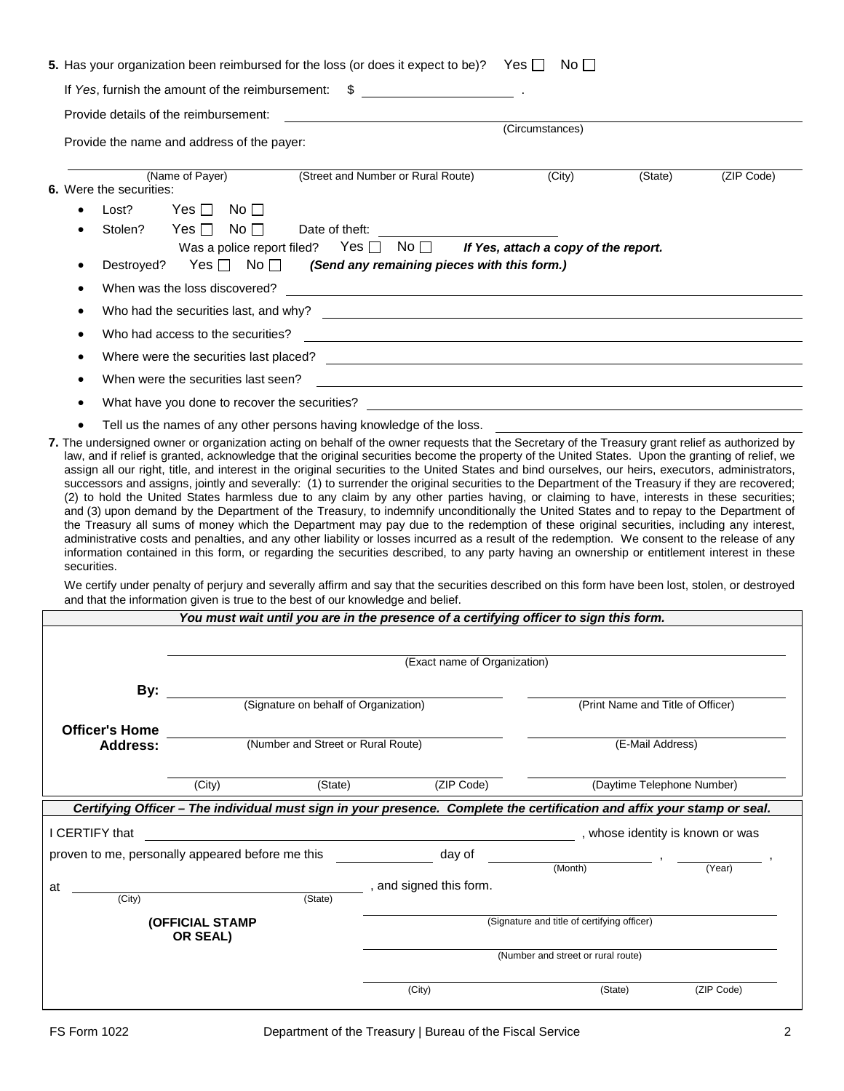|                                                                                                                                                                           |                                                                                                                                                                                         | 5. Has your organization been reimbursed for the loss (or does it expect to be)? Yes $\Box$                                                                                                                                                                                                                                                                                                                                                                                                                                                                                                                                                                                                                                                                                                                                                                                                                                                                                                                                                                                                                                                                                                     |                                       |                                                                                                                      |                                             | No $\Box$ |                                   |            |
|---------------------------------------------------------------------------------------------------------------------------------------------------------------------------|-----------------------------------------------------------------------------------------------------------------------------------------------------------------------------------------|-------------------------------------------------------------------------------------------------------------------------------------------------------------------------------------------------------------------------------------------------------------------------------------------------------------------------------------------------------------------------------------------------------------------------------------------------------------------------------------------------------------------------------------------------------------------------------------------------------------------------------------------------------------------------------------------------------------------------------------------------------------------------------------------------------------------------------------------------------------------------------------------------------------------------------------------------------------------------------------------------------------------------------------------------------------------------------------------------------------------------------------------------------------------------------------------------|---------------------------------------|----------------------------------------------------------------------------------------------------------------------|---------------------------------------------|-----------|-----------------------------------|------------|
|                                                                                                                                                                           | If Yes, furnish the amount of the reimbursement: \$<br><u> 1980 - Jan Barbara Barbara, p</u>                                                                                            |                                                                                                                                                                                                                                                                                                                                                                                                                                                                                                                                                                                                                                                                                                                                                                                                                                                                                                                                                                                                                                                                                                                                                                                                 |                                       |                                                                                                                      |                                             |           |                                   |            |
|                                                                                                                                                                           | Provide details of the reimbursement:                                                                                                                                                   |                                                                                                                                                                                                                                                                                                                                                                                                                                                                                                                                                                                                                                                                                                                                                                                                                                                                                                                                                                                                                                                                                                                                                                                                 |                                       |                                                                                                                      |                                             |           |                                   |            |
|                                                                                                                                                                           |                                                                                                                                                                                         | Provide the name and address of the payer:                                                                                                                                                                                                                                                                                                                                                                                                                                                                                                                                                                                                                                                                                                                                                                                                                                                                                                                                                                                                                                                                                                                                                      |                                       |                                                                                                                      | (Circumstances)                             |           |                                   |            |
|                                                                                                                                                                           |                                                                                                                                                                                         |                                                                                                                                                                                                                                                                                                                                                                                                                                                                                                                                                                                                                                                                                                                                                                                                                                                                                                                                                                                                                                                                                                                                                                                                 |                                       |                                                                                                                      |                                             |           |                                   |            |
|                                                                                                                                                                           | 6. Were the securities:                                                                                                                                                                 | (Name of Payer)                                                                                                                                                                                                                                                                                                                                                                                                                                                                                                                                                                                                                                                                                                                                                                                                                                                                                                                                                                                                                                                                                                                                                                                 |                                       | (Street and Number or Rural Route)                                                                                   | (City)                                      |           | (State)                           | (ZIP Code) |
|                                                                                                                                                                           | Lost?                                                                                                                                                                                   | No $\Box$<br>Yes $\Box$                                                                                                                                                                                                                                                                                                                                                                                                                                                                                                                                                                                                                                                                                                                                                                                                                                                                                                                                                                                                                                                                                                                                                                         |                                       |                                                                                                                      |                                             |           |                                   |            |
|                                                                                                                                                                           | Stolen?                                                                                                                                                                                 | Yes $\Box$<br>No $\Box$                                                                                                                                                                                                                                                                                                                                                                                                                                                                                                                                                                                                                                                                                                                                                                                                                                                                                                                                                                                                                                                                                                                                                                         | Date of theft:                        |                                                                                                                      |                                             |           |                                   |            |
|                                                                                                                                                                           | If Yes, attach a copy of the report.<br>Yes $\Box$ No $\Box$<br>Was a police report filed?<br>No $\Box$<br>Yes $\Box$<br>(Send any remaining pieces with this form.)<br>Destroyed?<br>٠ |                                                                                                                                                                                                                                                                                                                                                                                                                                                                                                                                                                                                                                                                                                                                                                                                                                                                                                                                                                                                                                                                                                                                                                                                 |                                       |                                                                                                                      |                                             |           |                                   |            |
|                                                                                                                                                                           | When was the loss discovered?<br>$\bullet$<br><u> 1989 - Johann Stoff, deutscher Stoffen und der Stoffen und der Stoffen und der Stoffen und der Stoffen und der</u>                    |                                                                                                                                                                                                                                                                                                                                                                                                                                                                                                                                                                                                                                                                                                                                                                                                                                                                                                                                                                                                                                                                                                                                                                                                 |                                       |                                                                                                                      |                                             |           |                                   |            |
|                                                                                                                                                                           |                                                                                                                                                                                         | Who had the securities last, and why?                                                                                                                                                                                                                                                                                                                                                                                                                                                                                                                                                                                                                                                                                                                                                                                                                                                                                                                                                                                                                                                                                                                                                           |                                       |                                                                                                                      |                                             |           |                                   |            |
|                                                                                                                                                                           | ٠                                                                                                                                                                                       | Who had access to the securities?                                                                                                                                                                                                                                                                                                                                                                                                                                                                                                                                                                                                                                                                                                                                                                                                                                                                                                                                                                                                                                                                                                                                                               |                                       | <u> 1989 - Johann Barn, amerikan bernama di sebagai bernama di sebagai bernama di sebagai bernama di sebagai ber</u> |                                             |           |                                   |            |
|                                                                                                                                                                           | $\bullet$                                                                                                                                                                               | Where were the securities last placed?                                                                                                                                                                                                                                                                                                                                                                                                                                                                                                                                                                                                                                                                                                                                                                                                                                                                                                                                                                                                                                                                                                                                                          |                                       | <u> 1989 - Johann Stein, mars an deus an deus Amerikaanse komme en de Fryske komme en oantale</u>                    |                                             |           |                                   |            |
|                                                                                                                                                                           | $\bullet$                                                                                                                                                                               | When were the securities last seen?                                                                                                                                                                                                                                                                                                                                                                                                                                                                                                                                                                                                                                                                                                                                                                                                                                                                                                                                                                                                                                                                                                                                                             |                                       |                                                                                                                      |                                             |           |                                   |            |
|                                                                                                                                                                           |                                                                                                                                                                                         | What have you done to recover the securities?                                                                                                                                                                                                                                                                                                                                                                                                                                                                                                                                                                                                                                                                                                                                                                                                                                                                                                                                                                                                                                                                                                                                                   |                                       |                                                                                                                      |                                             |           |                                   |            |
|                                                                                                                                                                           |                                                                                                                                                                                         | Tell us the names of any other persons having knowledge of the loss.                                                                                                                                                                                                                                                                                                                                                                                                                                                                                                                                                                                                                                                                                                                                                                                                                                                                                                                                                                                                                                                                                                                            |                                       |                                                                                                                      |                                             |           |                                   |            |
|                                                                                                                                                                           | securities.                                                                                                                                                                             | assign all our right, title, and interest in the original securities to the United States and bind ourselves, our heirs, executors, administrators,<br>successors and assigns, jointly and severally: (1) to surrender the original securities to the Department of the Treasury if they are recovered;<br>(2) to hold the United States harmless due to any claim by any other parties having, or claiming to have, interests in these securities;<br>and (3) upon demand by the Department of the Treasury, to indemnify unconditionally the United States and to repay to the Department of<br>the Treasury all sums of money which the Department may pay due to the redemption of these original securities, including any interest,<br>administrative costs and penalties, and any other liability or losses incurred as a result of the redemption. We consent to the release of any<br>information contained in this form, or regarding the securities described, to any party having an ownership or entitlement interest in these<br>We certify under penalty of perjury and severally affirm and say that the securities described on this form have been lost, stolen, or destroyed |                                       |                                                                                                                      |                                             |           |                                   |            |
| and that the information given is true to the best of our knowledge and belief.<br>You must wait until you are in the presence of a certifying officer to sign this form. |                                                                                                                                                                                         |                                                                                                                                                                                                                                                                                                                                                                                                                                                                                                                                                                                                                                                                                                                                                                                                                                                                                                                                                                                                                                                                                                                                                                                                 |                                       |                                                                                                                      |                                             |           |                                   |            |
|                                                                                                                                                                           |                                                                                                                                                                                         |                                                                                                                                                                                                                                                                                                                                                                                                                                                                                                                                                                                                                                                                                                                                                                                                                                                                                                                                                                                                                                                                                                                                                                                                 |                                       |                                                                                                                      |                                             |           |                                   |            |
|                                                                                                                                                                           |                                                                                                                                                                                         |                                                                                                                                                                                                                                                                                                                                                                                                                                                                                                                                                                                                                                                                                                                                                                                                                                                                                                                                                                                                                                                                                                                                                                                                 |                                       | (Exact name of Organization)                                                                                         |                                             |           |                                   |            |
|                                                                                                                                                                           | By:                                                                                                                                                                                     |                                                                                                                                                                                                                                                                                                                                                                                                                                                                                                                                                                                                                                                                                                                                                                                                                                                                                                                                                                                                                                                                                                                                                                                                 |                                       |                                                                                                                      |                                             |           |                                   |            |
|                                                                                                                                                                           |                                                                                                                                                                                         |                                                                                                                                                                                                                                                                                                                                                                                                                                                                                                                                                                                                                                                                                                                                                                                                                                                                                                                                                                                                                                                                                                                                                                                                 | (Signature on behalf of Organization) |                                                                                                                      |                                             |           | (Print Name and Title of Officer) |            |
|                                                                                                                                                                           | <b>Officer's Home</b>                                                                                                                                                                   |                                                                                                                                                                                                                                                                                                                                                                                                                                                                                                                                                                                                                                                                                                                                                                                                                                                                                                                                                                                                                                                                                                                                                                                                 |                                       |                                                                                                                      |                                             |           |                                   |            |
|                                                                                                                                                                           | <b>Address:</b>                                                                                                                                                                         |                                                                                                                                                                                                                                                                                                                                                                                                                                                                                                                                                                                                                                                                                                                                                                                                                                                                                                                                                                                                                                                                                                                                                                                                 | (Number and Street or Rural Route)    |                                                                                                                      |                                             |           | (E-Mail Address)                  |            |
|                                                                                                                                                                           |                                                                                                                                                                                         |                                                                                                                                                                                                                                                                                                                                                                                                                                                                                                                                                                                                                                                                                                                                                                                                                                                                                                                                                                                                                                                                                                                                                                                                 |                                       |                                                                                                                      |                                             |           |                                   |            |
|                                                                                                                                                                           |                                                                                                                                                                                         | (City)                                                                                                                                                                                                                                                                                                                                                                                                                                                                                                                                                                                                                                                                                                                                                                                                                                                                                                                                                                                                                                                                                                                                                                                          | (State)                               | (ZIP Code)                                                                                                           |                                             |           | (Daytime Telephone Number)        |            |
|                                                                                                                                                                           |                                                                                                                                                                                         | Certifying Officer – The individual must sign in your presence. Complete the certification and affix your stamp or seal.                                                                                                                                                                                                                                                                                                                                                                                                                                                                                                                                                                                                                                                                                                                                                                                                                                                                                                                                                                                                                                                                        |                                       |                                                                                                                      |                                             |           |                                   |            |
|                                                                                                                                                                           | I CERTIFY that                                                                                                                                                                          |                                                                                                                                                                                                                                                                                                                                                                                                                                                                                                                                                                                                                                                                                                                                                                                                                                                                                                                                                                                                                                                                                                                                                                                                 |                                       |                                                                                                                      |                                             |           | , whose identity is known or was  |            |
|                                                                                                                                                                           |                                                                                                                                                                                         | proven to me, personally appeared before me this                                                                                                                                                                                                                                                                                                                                                                                                                                                                                                                                                                                                                                                                                                                                                                                                                                                                                                                                                                                                                                                                                                                                                |                                       | day of                                                                                                               |                                             | (Month)   |                                   | (Year)     |
| at                                                                                                                                                                        |                                                                                                                                                                                         |                                                                                                                                                                                                                                                                                                                                                                                                                                                                                                                                                                                                                                                                                                                                                                                                                                                                                                                                                                                                                                                                                                                                                                                                 |                                       | , and signed this form.                                                                                              |                                             |           |                                   |            |
|                                                                                                                                                                           | $\overline{(City)}$                                                                                                                                                                     |                                                                                                                                                                                                                                                                                                                                                                                                                                                                                                                                                                                                                                                                                                                                                                                                                                                                                                                                                                                                                                                                                                                                                                                                 | (State)                               |                                                                                                                      |                                             |           |                                   |            |
|                                                                                                                                                                           |                                                                                                                                                                                         | (OFFICIAL STAMP                                                                                                                                                                                                                                                                                                                                                                                                                                                                                                                                                                                                                                                                                                                                                                                                                                                                                                                                                                                                                                                                                                                                                                                 |                                       |                                                                                                                      | (Signature and title of certifying officer) |           |                                   |            |

**OR SEAL)**

(Number and street or rural route)

(City) (State) (ZIP Code)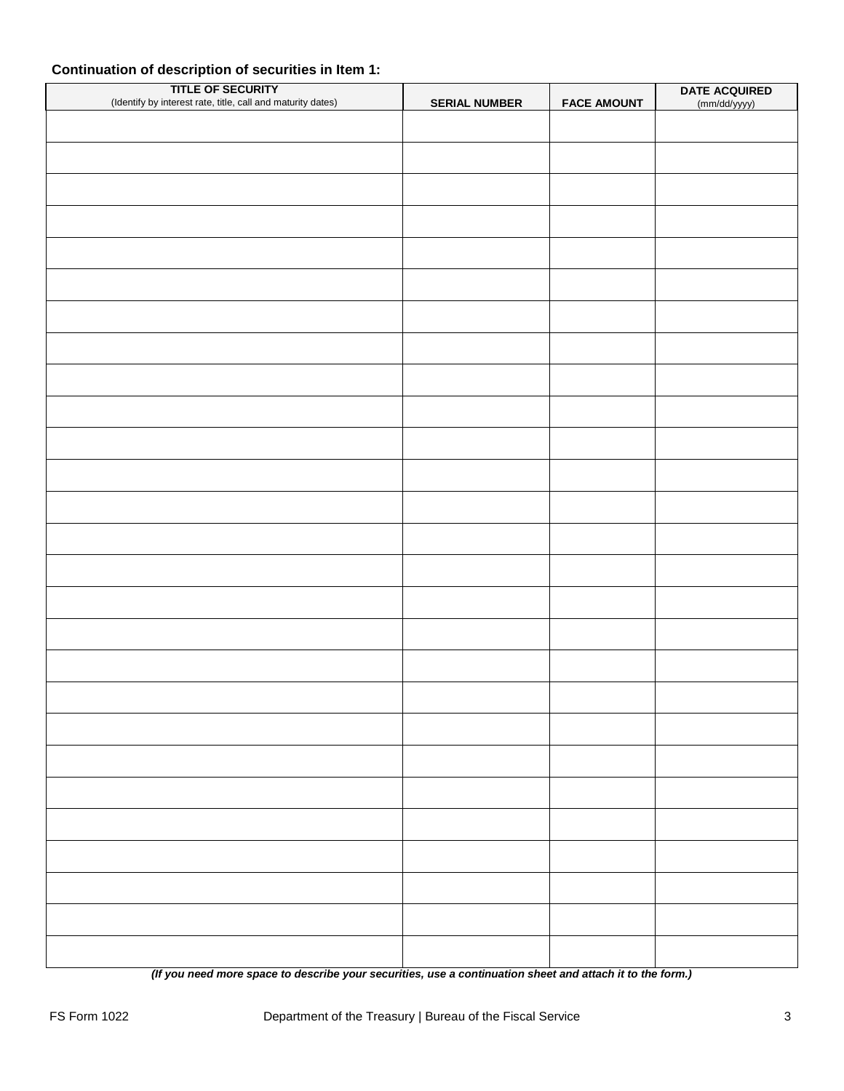## **Continuation of description of securities in Item 1:**

| <b>TITLE OF SECURITY</b><br>(Identify by interest rate, title, call and maturity dates) | <b>SERIAL NUMBER</b> | <b>FACE AMOUNT</b> | DATE ACQUIRED |
|-----------------------------------------------------------------------------------------|----------------------|--------------------|---------------|
|                                                                                         |                      |                    | (mm/dd/yyyy)  |
|                                                                                         |                      |                    |               |
|                                                                                         |                      |                    |               |
|                                                                                         |                      |                    |               |
|                                                                                         |                      |                    |               |
|                                                                                         |                      |                    |               |
|                                                                                         |                      |                    |               |
|                                                                                         |                      |                    |               |
|                                                                                         |                      |                    |               |
|                                                                                         |                      |                    |               |
|                                                                                         |                      |                    |               |
|                                                                                         |                      |                    |               |
|                                                                                         |                      |                    |               |
|                                                                                         |                      |                    |               |
|                                                                                         |                      |                    |               |
|                                                                                         |                      |                    |               |
|                                                                                         |                      |                    |               |
|                                                                                         |                      |                    |               |
|                                                                                         |                      |                    |               |
|                                                                                         |                      |                    |               |
|                                                                                         |                      |                    |               |
|                                                                                         |                      |                    |               |
|                                                                                         |                      |                    |               |
|                                                                                         |                      |                    |               |
|                                                                                         |                      |                    |               |
|                                                                                         |                      |                    |               |
|                                                                                         |                      |                    |               |
|                                                                                         |                      |                    |               |

*(If you need more space to describe your securities, use a continuation sheet and attach it to the form.)*